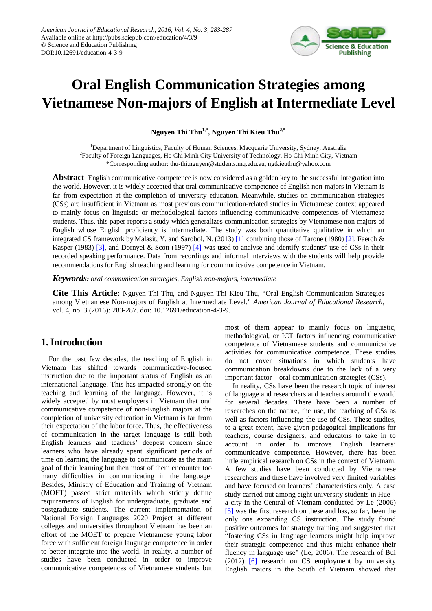

# **Oral English Communication Strategies among Vietnamese Non-majors of English at Intermediate Level**

**Nguyen Thi Thu1,\*, Nguyen Thi Kieu Thu2,\***

<sup>1</sup>Department of Linguistics, Faculty of Human Sciences, Macquarie University, Sydney, Australia <sup>2</sup> Faculty of Foreign Languages, Ho Chi Minh City University of Technology, Ho Chi Minh City, Vietnam \*Corresponding author: thu-thi.nguyen@students.mq.edu.au, ngtkieuthu@yahoo.com

**Abstract** English communicative competence is now considered as a golden key to the successful integration into the world. However, it is widely accepted that oral communicative competence of English non-majors in Vietnam is far from expectation at the completion of university education. Meanwhile, studies on communication strategies (CSs) are insufficient in Vietnam as most previous communication-related studies in Vietnamese context appeared to mainly focus on linguistic or methodological factors influencing communicative competences of Vietnamese students. Thus, this paper reports a study which generalizes communication strategies by Vietnamese non-majors of English whose English proficiency is intermediate. The study was both quantitative qualitative in which an integrated CS framework by Malasit, Y. and Sarobol, N. (2013) [\[1\]](#page-3-0) combining those of Tarone (1980[\) \[2\],](#page-3-1) Faerch & Kasper (1983) [\[3\],](#page-3-2) and Dornyei & Scott (1997) [\[4\]](#page-3-3) was used to analyse and identify students' use of CSs in their recorded speaking performance. Data from recordings and informal interviews with the students will help provide recommendations for English teaching and learning for communicative competence in Vietnam.

*Keywords: oral communication strategies, English non-majors, intermediate* 

**Cite This Article:** Nguyen Thi Thu, and Nguyen Thi Kieu Thu, "Oral English Communication Strategies among Vietnamese Non-majors of English at Intermediate Level." *American Journal of Educational Research*, vol. 4, no. 3 (2016): 283-287. doi: 10.12691/education-4-3-9.

## **1. Introduction**

For the past few decades, the teaching of English in Vietnam has shifted towards communicative-focused instruction due to the important status of English as an international language. This has impacted strongly on the teaching and learning of the language. However, it is widely accepted by most employers in Vietnam that oral communicative competence of non-English majors at the completion of university education in Vietnam is far from their expectation of the labor force. Thus, the effectiveness of communication in the target language is still both English learners and teachers' deepest concern since learners who have already spent significant periods of time on learning the language to communicate as the main goal of their learning but then most of them encounter too many difficulties in communicating in the language. Besides, Ministry of Education and Training of Vietnam (MOET) passed strict materials which strictly define requirements of English for undergraduate, graduate and postgraduate students. The current implementation of National Foreign Languages 2020 Project at different colleges and universities throughout Vietnam has been an effort of the MOET to prepare Vietnamese young labor force with sufficient foreign language competence in order to better integrate into the world. In reality, a number of studies have been conducted in order to improve communicative competences of Vietnamese students but most of them appear to mainly focus on linguistic, methodological, or ICT factors influencing communicative competence of Vietnamese students and communicative activities for communicative competence. These studies do not cover situations in which students have communication breakdowns due to the lack of a very important factor – oral communication strategies (CSs).

In reality, CSs have been the research topic of interest of language and researchers and teachers around the world for several decades. There have been a number of researches on the nature, the use, the teaching of CSs as well as factors influencing the use of CSs. These studies, to a great extent, have given pedagogical implications for teachers, course designers, and educators to take in to account in order to improve English learners' communicative competence. However, there has been little empirical research on CSs in the context of Vietnam. A few studies have been conducted by Vietnamese researchers and these have involved very limited variables and have focused on learners' characteristics only. A case study carried out among eight university students in Hue – a city in the Central of Vietnam conducted by Le (2006) [\[5\]](#page-3-4) was the first research on these and has, so far, been the only one expanding CS instruction. The study found positive outcomes for strategy training and suggested that "fostering CSs in language learners might help improve their strategic competence and thus might enhance their fluency in language use" (Le, 2006). The research of Bui (2012) [\[6\]](#page-3-5) research on CS employment by university English majors in the South of Vietnam showed that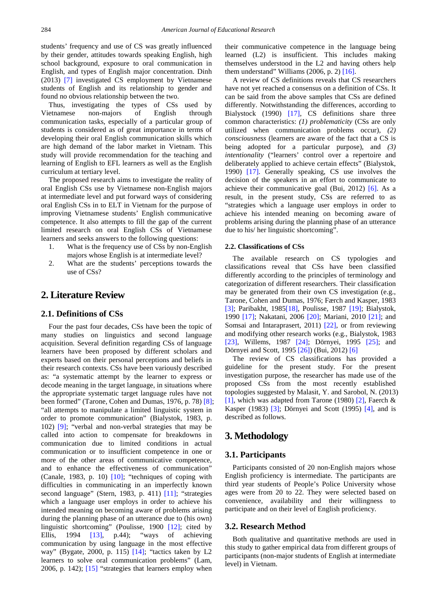students' frequency and use of CS was greatly influenced by their gender, attitudes towards speaking English, high school background, exposure to oral communication in English, and types of English major concentration. Dinh (2013) [\[7\]](#page-3-6) investigated CS employment by Vietnamese students of English and its relationship to gender and found no obvious relationship between the two.

Thus, investigating the types of CSs used by Vietnamese non-majors of English through communication tasks, especially of a particular group of students is considered as of great importance in terms of developing their oral English communication skills which are high demand of the labor market in Vietnam. This study will provide recommendation for the teaching and learning of English to EFL learners as well as the English curriculum at tertiary level.

The proposed research aims to investigate the reality of oral English CSs use by Vietnamese non-English majors at intermediate level and put forward ways of considering oral English CSs in to ELT in Vietnam for the purpose of improving Vietnamese students' English communicative competence. It also attempts to fill the gap of the current limited research on oral English CSs of Vietnamese learners and seeks answers to the following questions:

- 1. What is the frequency use of CSs by non-English majors whose English is at intermediate level?
- 2. What are the students' perceptions towards the use of CSs?

## **2. Literature Review**

#### **2.1. Definitions of CSs**

Four the past four decades, CSs have been the topic of many studies on linguistics and second language acquisition. Several definition regarding CSs of language learners have been proposed by different scholars and experts based on their personal perceptions and beliefs in their research contexts. CSs have been variously described as: "a systematic attempt by the learner to express or decode meaning in the target language, in situations where the appropriate systematic target language rules have not been formed" (Tarone, Cohen and Dumas, 1976, p. 78[\) \[8\];](#page-3-7) "all attempts to manipulate a limited linguistic system in order to promote communication" (Bialystok, 1983, p. 102) [\[9\];](#page-3-8) "verbal and non-verbal strategies that may be called into action to compensate for breakdowns in communication due to limited conditions in actual communication or to insufficient competence in one or more of the other areas of communicative competence, and to enhance the effectiveness of communication" (Canale, 1983, p. 10) [\[10\];](#page-3-9) "techniques of coping with difficulties in communicating in an imperfectly known second language" (Stern, 1983, p. 411) [\[11\];](#page-3-10) "strategies which a language user employs in order to achieve his intended meaning on becoming aware of problems arising during the planning phase of an utterance due to (his own) linguistic shortcoming" (Poulisse, 1900 [\[12\];](#page-3-11) cited by Ellis, 1994 [\[13\],](#page-3-12) p.44); "ways of achieving communication by using language in the most effective way" (Bygate, 2000, p. 115) [\[14\];](#page-3-13) "tactics taken by L2 learners to solve oral communication problems" (Lam, 2006, p. 142); [\[15\]](#page-3-14) "strategies that learners employ when

their communicative competence in the language being learned (L2) is insufficient. This includes making themselves understood in the L2 and having others help them understand" Williams (2006, p. 2) [\[16\].](#page-3-15)

A review of CS definitions reveals that CS researchers have not yet reached a consensus on a definition of CSs. It can be said from the above samples that CSs are defined differently. Notwithstanding the differences, according to Bialystock (1990) [\[17\],](#page-3-16) CS definitions share three common characteristics: *(1) problematicity* (CSs are only utilized when communication problems occur), *(2) consciousness* (learners are aware of the fact that a CS is being adopted for a particular purpose), and *(3) intentionality* ("learners' control over a repertoire and deliberately applied to achieve certain effects" (Bialystok, 1990) [\[17\].](#page-3-16) Generally speaking, CS use involves the decision of the speakers in an effort to communicate to achieve their communicative goal (Bui, 2012) [\[6\].](#page-3-5) As a result, in the present study, CSs are referred to as "strategies which a language user employs in order to achieve his intended meaning on becoming aware of problems arising during the planning phase of an utterance due to his/ her linguistic shortcoming".

#### **2.2. Classifications of CSs**

The available research on CS typologies and classifications reveal that CSs have been classified differently according to the principles of terminology and categorization of different researchers. Their classification may be generated from their own CS investigation (e.g., Tarone, Cohen and Dumas, 1976; Færch and Kasper, 1983 [\[3\];](#page-3-2) Paribakht, 198[5\[18\],](#page-3-17) Poulisse, 1987 [\[19\];](#page-4-0) Bialystok, 1990 [\[17\];](#page-3-16) Nakatani, 2006 [\[20\];](#page-4-1) Mariani, 2010 [\[21\];](#page-4-2) and Somsai and Intaraprasert, 2011) [\[22\],](#page-4-3) or from reviewing and modifying other research works (e.g., Bialystok, 1983 [\[23\],](#page-4-4) Willems, 1987 [\[24\];](#page-4-5) Dörnyei, 1995 [\[25\];](#page-4-6) and Dörnyei and Scott, 199[5 \[26\]\)](#page-4-7) (Bui, 2012[\) \[6\]](#page-3-5)

The review of CS classifications has provided a guideline for the present study. For the present investigation purpose, the researcher has made use of the proposed CSs from the most recently established topologies suggested by Malasit, Y. and Sarobol, N. (2013) [\[1\],](#page-3-0) which was adapted from Tarone (1980) [\[2\],](#page-3-1) Faerch  $\&$ Kasper (1983) [\[3\];](#page-3-2) Dörnyei and Scott (1995) [\[4\],](#page-3-3) and is described as follows.

## **3. Methodology**

#### **3.1. Participants**

Participants consisted of 20 non-English majors whose English proficiency is intermediate. The participants are third year students of People's Police University whose ages were from 20 to 22. They were selected based on convenience, availability and their willingness to participate and on their level of English proficiency.

#### **3.2. Research Method**

Both qualitative and quantitative methods are used in this study to gather empirical data from different groups of participants (non-major students of English at intermediate level) in Vietnam.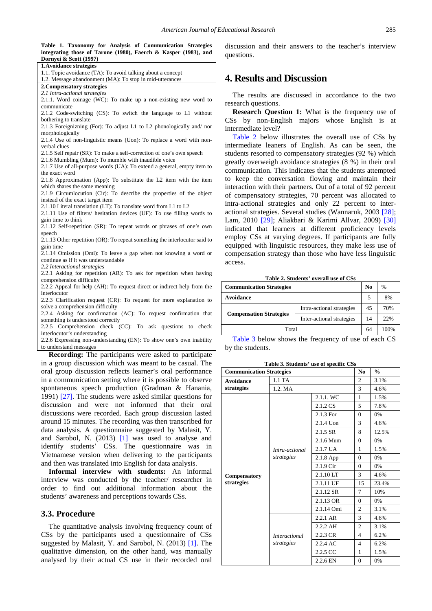**Table 1. Taxonomy for Analysis of Communication Strategies integrating those of Tarone (1980), Faerch & Kasper (1983), and Dornyei & Scott (1997)**

| 1. Avoidance strategies                                                    |                 |
|----------------------------------------------------------------------------|-----------------|
| 1.1. Topic avoidance (TA): To avoid talking about a concept                |                 |
| 1.2. Message abandonment (MA): To stop in mid-utterances                   | 4. R            |
| 2. Compensatory strategies                                                 |                 |
| 2.1 Intra-actional strategies                                              | The             |
| 2.1.1. Word coinage (WC): To make up a non-existing new word to            |                 |
| communicate                                                                | resear          |
| 2.1.2 Code-switching (CS): To switch the language to L1 without            | Re:             |
| bothering to translate                                                     | CS <sub>s</sub> |
| 2.1.3 Foreignizning (For): To adjust L1 to L2 phonologically and/nor       | interm          |
| morphologically                                                            |                 |
| 2.1.4 Use of non-linguistic means (Uon): To replace a word with non-       | Tat             |
| verbal clues                                                               | interm          |
| 2.1.5 Self repair (SR): To make a self-correction of one's own speech      | studer          |
| 2.1.6 Mumbling (Mum): To mumble with inaudible voice                       | greatl          |
| 2.1.7 Use of all-purpose words (UA): To extend a general, empty item to    |                 |
| the exact word                                                             | comm            |
| 2.1.8 Approximation (App): To substitute the L2 item with the item         | to ke           |
| which shares the same meaning                                              | intera          |
| 2.1.9 Circumlocution (Cir): To describe the properties of the object       | of cor          |
| instead of the exact target item                                           |                 |
| 2.1.10 Literal translation (LT): To translate word from L1 to L2           | intra-a         |
| 2.1.11 Use of filters/ hesitation devices (UF): To use filling words to    | action          |
| gain time to think                                                         | Lam,            |
| 2.1.12 Self-repetition (SR): To repeat words or phrases of one's own       | indica          |
| speech                                                                     | emplo           |
| 2.1.13 Other repetition (OR): To repeat something the interlocutor said to |                 |
| gain time                                                                  | equip           |
| 2.1.14 Omission (Omi): To leave a gap when not knowing a word or           | compe           |
| continue as if it was understandable                                       | access          |
| 2.2 Interactional strategies                                               |                 |
| 2.2.1 Asking for repetition (AR): To ask for repetition when having        |                 |
| comprehension difficulty                                                   |                 |
| 2.2.2 Appeal for help (AH): To request direct or indirect help from the    | Comm            |
| interlocutor                                                               | Avoida          |
| 2.2.3 Clarification request (CR): To request for more explanation to       |                 |
| solve a comprehension difficulty                                           |                 |
| 2.2.4 Asking for confirmation (AC): To request confirmation that           | Comp            |
| something is understood correctly                                          |                 |
| 2.2.5 Comprehension check (CC): To ask questions to check                  |                 |
| interlocutor's understanding                                               |                 |
| 2.2.6 Expressing non-understanding (EN): To show one's own inability       | Tat             |
| to understand messages                                                     | by the          |
| <b>Recording:</b> The participants were asked to participate               |                 |
| in a group discussion which was meant to be casual. The                    |                 |
| and control discussion of leate leagues and conference                     |                 |

in a group discussion which was meant to be casual. The oral group discussion reflects learner's oral performance in a communication setting where it is possible to observe spontaneous speech production (Gradman & Hanania, 1991) [\[27\].](#page-4-8) The students were asked similar questions for discussion and were not informed that their oral discussions were recorded. Each group discussion lasted around 15 minutes. The recording was then transcribed for data analysis. A questionnaire suggested by Malasit, Y. and Sarobol, N. (2013) [\[1\]](#page-3-0) was used to analyse and identify students' CSs. The questionnaire was in Vietnamese version when delivering to the participants and then was translated into English for data analysis.

**Informal interview with students:** An informal interview was conducted by the teacher/ researcher in order to find out additional information about the students' awareness and perceptions towards CSs.

#### **3.3. Procedure**

The quantitative analysis involving frequency count of CSs by the participants used a questionnaire of CSs suggested by Malasit, Y. and Sarobol, N. (2013) [\[1\].](#page-3-0) The qualitative dimension, on the other hand, was manually analysed by their actual CS use in their recorded oral discussion and their answers to the teacher's interview questions.

## **4. Results and Discussion**

The results are discussed in accordance to the two ch questions.

**Rearch Question 1:** What is the frequency use of by non-English majors whose English is at iediate level?

ble 2 below illustrates the overall use of CSs by nediate leaners of English. As can be seen, the nts resorted to compensatory strategies (92 %) which y overweigh avoidance strategies (8 %) in their oral quinication. This indicates that the students attempted ep the conversation flowing and maintain their ction with their partners. Out of a total of 92 percent mpensatory strategies, 70 percent was allocated to actional strategies and only 22 percent to inter-al strategies. Several studies (Wannaruk, 2003 [\[28\];](#page-4-9) 2010 [\[29\];](#page-4-10) Aliakbari & Karimi Allvar, 2009) [\[30\]](#page-4-11) ated that learners at different proficiency levels by CSs at varying degrees. If participants are fully ped with linguistic resources, they make less use of ensation strategy than those who have less linguistic access.

**Table 2. Students' overall use of CSs**

<span id="page-2-0"></span>

| <b>Communication Strategies</b> |                           | No | $\frac{0}{0}$ |
|---------------------------------|---------------------------|----|---------------|
| Avoidance                       |                           |    | 8%            |
| <b>Compensation Strategies</b>  | Intra-actional strategies | 45 | 70%           |
|                                 | Inter-actional strategies | 14 | 22%           |
| Total                           |                           | 64 | 100%          |

ble 3 below shows the frequency of use of each CS students.

<span id="page-2-1"></span>

| <b>Communication Strategies</b> |                                    | N <sub>0</sub>     | $\frac{0}{0}$  |       |
|---------------------------------|------------------------------------|--------------------|----------------|-------|
| Avoidance                       | 1.1 TA                             |                    | $\overline{c}$ | 3.1%  |
| strategies                      | 1.2. MA                            |                    | 3              | 4.6%  |
| Compensatory                    | Intra-actional<br>strategies       | 2.1.1. WC          | $\mathbf{1}$   | 1.5%  |
|                                 |                                    | 2.1.2 CS           | 5              | 7.8%  |
|                                 |                                    | 2.1.3 For          | $\theta$       | 0%    |
|                                 |                                    | 2.1.4 Uon          | 3              | 4.6%  |
|                                 |                                    | $2.1.5$ SR         | 8              | 12.5% |
|                                 |                                    | 2.1.6 Mum          | $\theta$       | 0%    |
|                                 |                                    | 2.1.7 UA           | $\mathbf{1}$   | 1.5%  |
|                                 |                                    | 2.1.8 App          | $\theta$       | 0%    |
|                                 |                                    | 2.1.9 Cir          | $\theta$       | $0\%$ |
|                                 |                                    | 2.1.10 LT          | 3              | 4.6%  |
| strategies                      |                                    | 2.1.11 UF          | 15             | 23.4% |
|                                 |                                    | 2.1.12 SR          | $\tau$         | 10%   |
|                                 |                                    | 2.1.13 OR          | $\Omega$       | 0%    |
|                                 |                                    | 2.1.14 Omi         | $\overline{2}$ | 3.1%  |
|                                 | <i>Interactional</i><br>strategies | 2.2.1 AR           | 3              | 4.6%  |
|                                 |                                    | 2.2.2 AH           | $\overline{c}$ | 3.1%  |
|                                 |                                    | $2.2.3 \text{ CR}$ | $\overline{4}$ | 6.2%  |
|                                 |                                    | 2.2.4 AC           | $\overline{4}$ | 6.2%  |
|                                 |                                    | 2.2.5 CC           | $\mathbf{1}$   | 1.5%  |
|                                 |                                    | 2.2.6 EN           | $\theta$       | 0%    |

**Table 3. Students' use of specific CSs**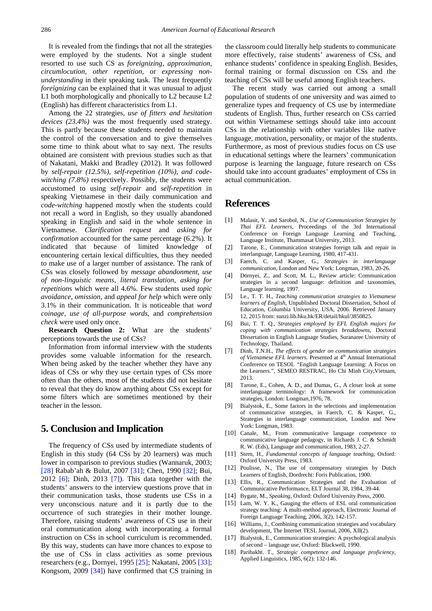It is revealed from the findings that not all the strategies were employed by the students. Not a single student resorted to use such CS as *foreignizing*, *approximation, circumlocution, other repetition,* or *expressing nonunderstanding* in their speaking task. The least frequently *foreignizing* can be explained that it was unusual to adjust L1 both morphologically and phonically to L2 because L2 (English) has different characteristics from L1.

Among the 22 strategies, *use of fitters and hesitation devices (23.4%)* was the most frequently used strategy. This is partly because these students needed to maintain the control of the conversation and to give themselves some time to think about what to say next. The results obtained are consistent with previous studies such as that of Nakatani, Makki and Bradley (2012). It was followed by *self-repair (12.5%), self-repetition (10%), and codewitching (7.8%)* respectively. Possibly, the students were accustomed to using *self-repair* and *self-repetition* in speaking Vietnamese in their daily communication and *code-witching* happened mostly when the students could not recall a word in English, so they usually abandoned speaking in English and said in the whole sentence in Vietnamese. *Clarification request* and *asking for confirmation* accounted for the same percentage (6.2%). It indicated that because of limited knowledge of encountering certain lexical difficulties, thus they needed to make use of a larger number of assistance. The rank of CSs was closely followed by *message abandonment*, *use of non-linguistic means*, *literal translation*, *asking for repetition*s which were all 4.6%. Few students used *topic avoidance, omission,* and *appeal for help* which were only 3.1% in their communication. It is noticeable that *word coinage*, *use of all-purpose words*, and *comprehension check* were used only once.

**Research Question 2:** What are the students' perceptions towards the use of CSs?

Information from informal interview with the students provides some valuable information for the research. When being asked by the teacher whether they have any ideas of CSs or why they use certain types of CSs more often than the others, most of the students did not hesitate to reveal that they do know anything about CSs except for some filters which are sometimes mentioned by their teacher in the lesson.

## **5. Conclusion and Implication**

The frequency of CSs used by intermediate students of English in this study (64 CSs by 20 learners) was much lower in comparison to previous studies (Wannaruk, 2003; [\[28\]](#page-4-9) Rabab'ah & Bulut, 2007 [\[31\];](#page-4-12) Chen, 1990 [\[32\];](#page-4-13) Bui, 2012 [\[6\];](#page-3-5) Dinh, 2013 [\[7\]\)](#page-3-6). This data together with the students' answers to the interview questions prove that in their communication tasks, those students use CSs in a very unconscious nature and it is partly due to the occurrence of such strategies in their mother lounge. Therefore, raising students' awareness of CS use in their oral communication along with incorporating a formal instruction on CSs in school curriculum is recommended. By this way, students can have more chances to expose to the use of CSs in class activities as some previous researchers (e.g., Dornyei, 1995 [\[25\];](#page-4-6) Nakatani, 2005 [\[33\];](#page-4-14) Kongsom, 2009 [\[34\]\)](#page-4-15) have confirmed that CS training in the classroom could literally help students to communicate more effectively, raise students' awareness of CSs, and enhance students' confidence in speaking English. Besides, formal training or formal discussion on CSs and the teaching of CSs will be useful among English teachers.

The recent study was carried out among a small population of students of one university and was aimed to generalize types and frequency of CS use by intermediate students of English. Thus, further research on CSs carried out within Vietnamese settings should take into account CSs in the relationship with other variables like native language, motivation, personality, or major of the students. Furthermore, as most of previous studies focus on CS use in educational settings where the learners' communication purpose is learning the language, future research on CSs should take into account graduates' employment of CSs in actual communication.

## **References**

- <span id="page-3-0"></span>[1] Malasit, Y. and Sarobol, N., *Use of Communication Strategies by Thai EFL Learners,* Proceedings of the 3rd International Conference on Foreign Language Learning and Teaching, Language Institute, Thammasat University, 2013.
- <span id="page-3-1"></span>[2] Tarone, E., Communication strategies foreign talk and repair in interlanguage, Language Learning, 1980, 417-431.
- <span id="page-3-2"></span>[3] Faerch, C. and Kasper, G., *Strategies in interlanguage communication,* London and New York: Longman, 1983, 20-26.
- <span id="page-3-3"></span>[4] Dörnyei, Z., and Scott, M. L., Review article: Communication strategies in a second language: definition and taxonomies, Language learning, 1997.
- <span id="page-3-4"></span>[5] Le., T. T. H., *Teaching communication strategies to Vietnamese learners of English,* Unpublished Doctoral Dissertation, School of Education, Columbia University, USA, 2006. Retrieved January 12, 2015 from: sunzi.lib.hku.hk/ER/detail/hkul/3850825.
- <span id="page-3-5"></span>[6] Bui, T. T. Q., *Strategies employed by EFL English majors for coping with communication strategies breakdowns,* Doctoral Dissertation in English Language Studies, Suranaree University of Technology, Thailand.
- <span id="page-3-6"></span>[7] Dinh, T.N.H., *The effects of gender on communication strategies of Vietnamese EFL learners.* Presented at 4<sup>th</sup> Annual International Conference on TESOL *"*English Language Learning: A Focus on the Learners.", SEMEO RESTRAC, Ho Chi Minh City,Vietnam, 2013.
- <span id="page-3-7"></span>[8] Tarone, E., Cohen, A. D., and Dumas, G., A closer look at some interlanguage terminology: A framework for communication strategies, London: Longman,1976, 78.
- <span id="page-3-8"></span>[9] Bialystok, E., Some factors in the selections and implementation of communicative strategies, in Faerch, C. & Kasper, G., Strategies in interlanguage communication, London and New York: Longman, 1983.
- <span id="page-3-9"></span>[10] Canale, M., From communicative language competence to communicative language pedagogy, in Richards J. C. & Schmidt R. W. (Eds), Language and communication, 1983, 2-27.
- <span id="page-3-10"></span>[11] Stern, H., *Fundamental concepts of language teaching,* Oxford: Oxford University Press, 1983.
- <span id="page-3-11"></span>[12] Poulisse, N., The use of compensatory strategies by Dutch Learners of English, Dordrecht: Foris Publication, 1900.
- <span id="page-3-12"></span>[13] Ellis, R., Communication Strategies and the Evaluation of Communicative Performance, ELT Journal 38, 1984, 39-44.
- <span id="page-3-13"></span>[14] Bygate, M., *Speaking,* Oxford: Oxford University Press, 2000.
- <span id="page-3-14"></span>[15] Lam, W. Y. K., Gauging the effects of ESL oral communication strategy teaching: A multi-method approach, Electronic Journal of Foreign Language Teaching, 2006, 3(2), 142-157.
- <span id="page-3-15"></span>[16] Williams, J., Combining communication strategies and vocabulary development, The Internet TESL Journal, 2006, XII(2).
- <span id="page-3-16"></span>[17] Bialystok, E., Communication strategies: A psychological analysis of second – language use, Oxford: Blackwell, 1990.
- <span id="page-3-17"></span>[18] Paribakht. T., *Strategic competence and language proficiency,*  Applied Linguistics, 1985, 6(2): 132-146.